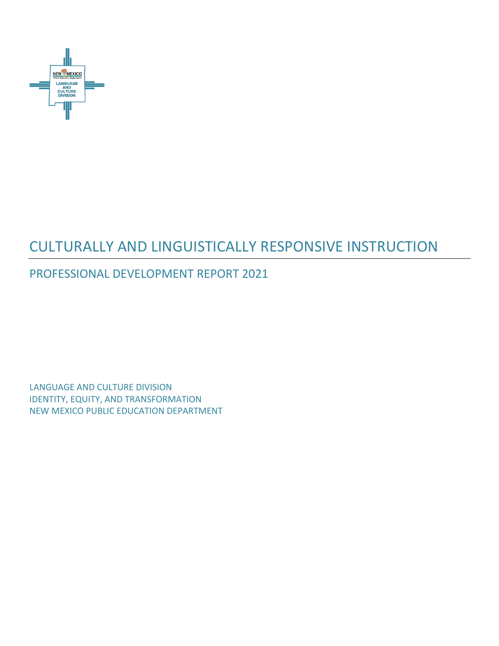

# CULTURALLY AND LINGUISTICALLY RESPONSIVE INSTRUCTION

# PROFESSIONAL DEVELOPMENT REPORT 2021

LANGUAGE AND CULTURE DIVISION IDENTITY, EQUITY, AND TRANSFORMATION NEW MEXICO PUBLIC EDUCATION DEPARTMENT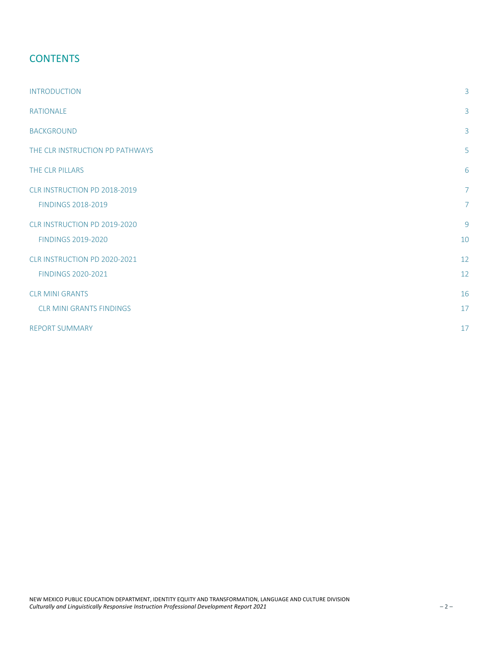### **CONTENTS**

| <b>INTRODUCTION</b>                                       | 3                                |
|-----------------------------------------------------------|----------------------------------|
| <b>RATIONALE</b>                                          | 3                                |
| <b>BACKGROUND</b>                                         | 3                                |
| THE CLR INSTRUCTION PD PATHWAYS                           | 5                                |
| THE CLR PILLARS                                           | 6                                |
| CLR INSTRUCTION PD 2018-2019<br><b>FINDINGS 2018-2019</b> | $\overline{7}$<br>$\overline{7}$ |
| CLR INSTRUCTION PD 2019-2020<br><b>FINDINGS 2019-2020</b> | 9<br>10                          |
| CLR INSTRUCTION PD 2020-2021<br><b>FINDINGS 2020-2021</b> | 12<br>12                         |
| <b>CLR MINI GRANTS</b><br><b>CLR MINI GRANTS FINDINGS</b> | 16<br>17                         |
| <b>REPORT SUMMARY</b>                                     | 17                               |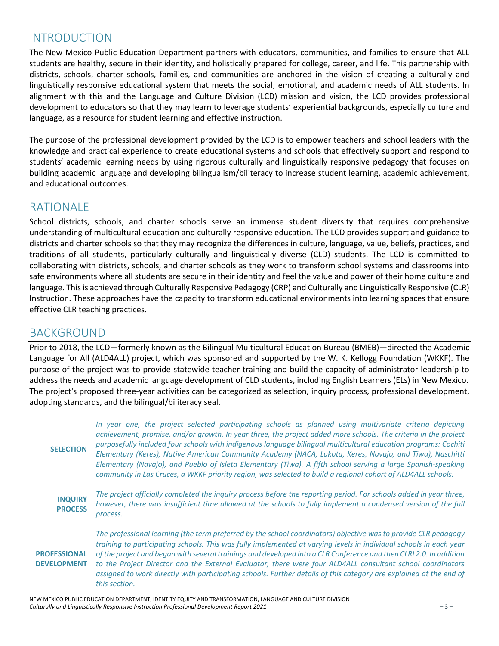### INTRODUCTION

The New Mexico Public Education Department partners with educators, communities, and families to ensure that ALL students are healthy, secure in their identity, and holistically prepared for college, career, and life. This partnership with districts, schools, charter schools, families, and communities are anchored in the vision of creating a culturally and linguistically responsive educational system that meets the social, emotional, and academic needs of ALL students. In alignment with this and the Language and Culture Division (LCD) mission and vision, the LCD provides professional development to educators so that they may learn to leverage students' experiential backgrounds, especially culture and language, as a resource for student learning and effective instruction.

The purpose of the professional development provided by the LCD is to empower teachers and school leaders with the knowledge and practical experience to create educational systems and schools that effectively support and respond to students' academic learning needs by using rigorous culturally and linguistically responsive pedagogy that focuses on building academic language and developing bilingualism/biliteracy to increase student learning, academic achievement, and educational outcomes.

### RATIONALE

School districts, schools, and charter schools serve an immense student diversity that requires comprehensive understanding of multicultural education and culturally responsive education. The LCD provides support and guidance to districts and charter schools so that they may recognize the differences in culture, language, value, beliefs, practices, and traditions of all students, particularly culturally and linguistically diverse (CLD) students. The LCD is committed to collaborating with districts, schools, and charter schools as they work to transform school systems and classrooms into safe environments where all students are secure in their identity and feel the value and power of their home culture and language. This is achieved through Culturally Responsive Pedagogy (CRP) and Culturally and Linguistically Responsive (CLR) Instruction. These approaches have the capacity to transform educational environments into learning spaces that ensure effective CLR teaching practices.

### BACKGROUND

Prior to 2018, the LCD—formerly known as the Bilingual Multicultural Education Bureau (BMEB)—directed the Academic Language for All (ALD4ALL) project, which was sponsored and supported by the W. K. Kellogg Foundation (WKKF). The purpose of the project was to provide statewide teacher training and build the capacity of administrator leadership to address the needs and academic language development of CLD students, including English Learners (ELs) in New Mexico. The project's proposed three-year activities can be categorized as selection, inquiry process, professional development, adopting standards, and the bilingual/biliteracy seal.

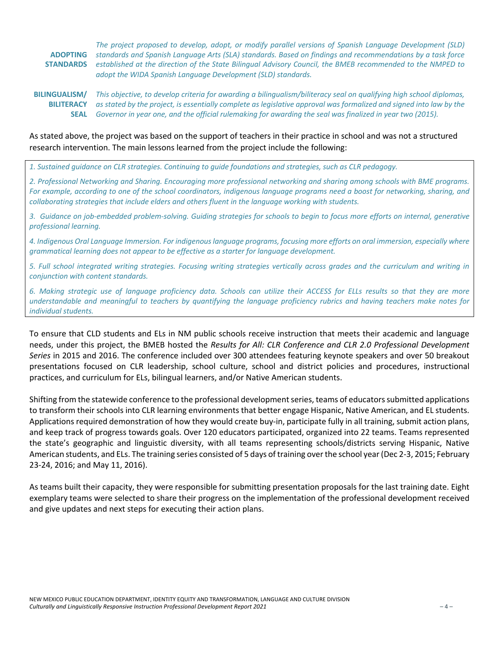**ADOPTING STANDARDS** *The project proposed to develop, adopt, or modify parallel versions of Spanish Language Development (SLD) standards and Spanish Language Arts (SLA) standards. Based on findings and recommendations by a task force established at the direction of the State Bilingual Advisory Council, the BMEB recommended to the NMPED to adopt the WIDA Spanish Language Development (SLD) standards.* 

**BILINGUALISM/ BILITERACY SEAL** *Governor in year one, and the official rulemaking for awarding the seal was finalized in year two (2015). This objective, to develop criteria for awarding a bilingualism/biliteracy seal on qualifying high school diplomas, as stated by the project, is essentially complete as legislative approval was formalized and signed into law by the* 

#### As stated above, the project was based on the support of teachers in their practice in school and was not a structured research intervention. The main lessons learned from the project include the following:

*1. Sustained guidance on CLR strategies. Continuing to guide foundations and strategies, such as CLR pedagogy.*

*2. Professional Networking and Sharing. Encouraging more professional networking and sharing among schools with BME programs. For example, according to one of the school coordinators, indigenous language programs need a boost for networking, sharing, and collaborating strategies that include elders and others fluent in the language working with students.*

*3. Guidance on job-embedded problem-solving. Guiding strategies for schools to begin to focus more efforts on internal, generative professional learning.*

*4. Indigenous Oral Language Immersion. For indigenous language programs, focusing more efforts on oral immersion, especially where grammatical learning does not appear to be effective as a starter for language development.*

*5. Full school integrated writing strategies. Focusing writing strategies vertically across grades and the curriculum and writing in conjunction with content standards.*

*6. Making strategic use of language proficiency data. Schools can utilize their ACCESS for ELLs results so that they are more understandable and meaningful to teachers by quantifying the language proficiency rubrics and having teachers make notes for individual students.*

To ensure that CLD students and ELs in NM public schools receive instruction that meets their academic and language needs, under this project, the BMEB hosted the *Results for All: CLR Conference and CLR 2.0 Professional Development Series* in 2015 and 2016. The conference included over 300 attendees featuring keynote speakers and over 50 breakout presentations focused on CLR leadership, school culture, school and district policies and procedures, instructional practices, and curriculum for ELs, bilingual learners, and/or Native American students.

Shifting from the statewide conference to the professional development series, teams of educators submitted applications to transform their schools into CLR learning environments that better engage Hispanic, Native American, and EL students. Applications required demonstration of how they would create buy-in, participate fully in all training, submit action plans, and keep track of progress towards goals. Over 120 educators participated, organized into 22 teams. Teams represented the state's geographic and linguistic diversity, with all teams representing schools/districts serving Hispanic, Native American students, and ELs. The training series consisted of 5 days of training over the school year (Dec 2-3, 2015; February 23-24, 2016; and May 11, 2016).

As teams built their capacity, they were responsible for submitting presentation proposals for the last training date. Eight exemplary teams were selected to share their progress on the implementation of the professional development received and give updates and next steps for executing their action plans.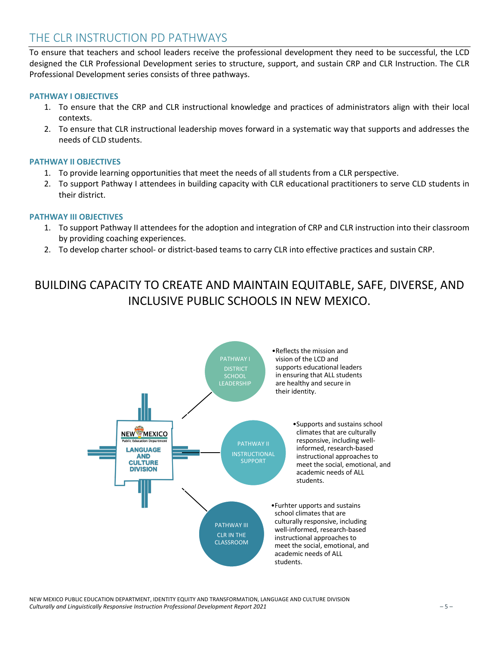### THE CLR INSTRUCTION PD PATHWAYS

To ensure that teachers and school leaders receive the professional development they need to be successful, the LCD designed the CLR Professional Development series to structure, support, and sustain CRP and CLR Instruction. The CLR Professional Development series consists of three pathways.

#### **PATHWAY I OBJECTIVES**

- 1. To ensure that the CRP and CLR instructional knowledge and practices of administrators align with their local contexts.
- 2. To ensure that CLR instructional leadership moves forward in a systematic way that supports and addresses the needs of CLD students.

#### **PATHWAY II OBJECTIVES**

- 1. To provide learning opportunities that meet the needs of all students from a CLR perspective.
- 2. To support Pathway I attendees in building capacity with CLR educational practitioners to serve CLD students in their district.

#### **PATHWAY III OBJECTIVES**

- 1. To support Pathway II attendees for the adoption and integration of CRP and CLR instruction into their classroom by providing coaching experiences.
- 2. To develop charter school- or district-based teams to carry CLR into effective practices and sustain CRP.

# BUILDING CAPACITY TO CREATE AND MAINTAIN EQUITABLE, SAFE, DIVERSE, AND INCLUSIVE PUBLIC SCHOOLS IN NEW MEXICO.



NEW MEXICO PUBLIC EDUCATION DEPARTMENT, IDENTITY EQUITY AND TRANSFORMATION, LANGUAGE AND CULTURE DIVISION *Culturally and Linguistically Responsive Instruction Professional Development Report 2021* – 5 –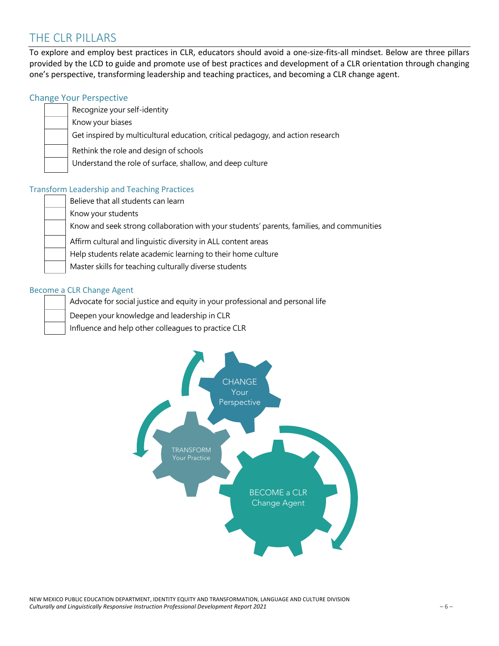### THE CLR PILLARS

To explore and employ best practices in CLR, educators should avoid a one-size-fits-all mindset. Below are three pillars provided by the LCD to guide and promote use of best practices and development of a CLR orientation through changing one's perspective, transforming leadership and teaching practices, and becoming a CLR change agent.

#### Change Your Perspective

#### Recognize your self-identity

Know your biases

Get inspired by multicultural education, critical pedagogy, and action research

Rethink the role and design of schools

Understand the role of surface, shallow, and deep culture

#### Transform Leadership and Teaching Practices

Believe that all students can learn

Know your students

Know and seek strong collaboration with your students' parents, families, and communities

Affirm cultural and linguistic diversity in ALL content areas

Help students relate academic learning to their home culture

Master skills for teaching culturally diverse students

#### Become a CLR Change Agent

Advocate for social justice and equity in your professional and personal life

Deepen your knowledge and leadership in CLR

Influence and help other colleagues to practice CLR



NEW MEXICO PUBLIC EDUCATION DEPARTMENT, IDENTITY EQUITY AND TRANSFORMATION, LANGUAGE AND CULTURE DIVISION *Culturally and Linguistically Responsive Instruction Professional Development Report 2021* – 6 –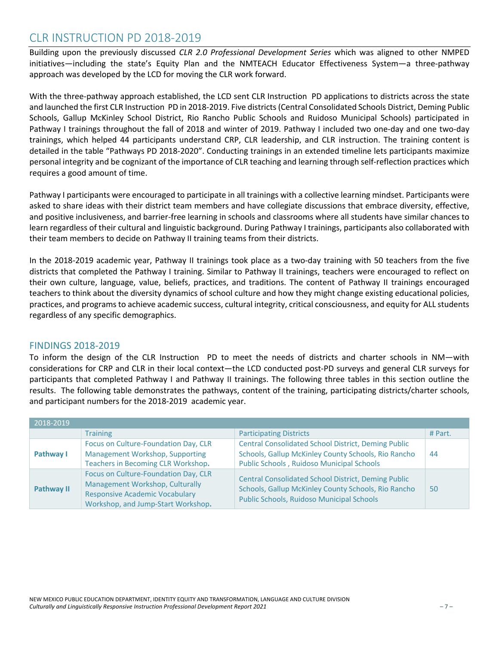### CLR INSTRUCTION PD 2018-2019

Building upon the previously discussed *CLR 2.0 Professional Development Series* which was aligned to other NMPED initiatives—including the state's Equity Plan and the NMTEACH Educator Effectiveness System—a three-pathway approach was developed by the LCD for moving the CLR work forward.

With the three-pathway approach established, the LCD sent CLR Instruction PD applications to districts across the state and launched the first CLR Instruction PD in 2018-2019. Five districts (Central Consolidated Schools District, Deming Public Schools, Gallup McKinley School District, Rio Rancho Public Schools and Ruidoso Municipal Schools) participated in Pathway I trainings throughout the fall of 2018 and winter of 2019. Pathway I included two one-day and one two-day trainings, which helped 44 participants understand CRP, CLR leadership, and CLR instruction. The training content is detailed in the table "Pathways PD 2018-2020". Conducting trainings in an extended timeline lets participants maximize personal integrity and be cognizant of the importance of CLR teaching and learning through self-reflection practices which requires a good amount of time.

Pathway I participants were encouraged to participate in all trainings with a collective learning mindset. Participants were asked to share ideas with their district team members and have collegiate discussions that embrace diversity, effective, and positive inclusiveness, and barrier-free learning in schools and classrooms where all students have similar chances to learn regardless of their cultural and linguistic background. During Pathway I trainings, participants also collaborated with their team members to decide on Pathway II training teams from their districts.

In the 2018-2019 academic year, Pathway II trainings took place as a two-day training with 50 teachers from the five districts that completed the Pathway I training. Similar to Pathway II trainings, teachers were encouraged to reflect on their own culture, language, value, beliefs, practices, and traditions. The content of Pathway II trainings encouraged teachers to think about the diversity dynamics of school culture and how they might change existing educational policies, practices, and programs to achieve academic success, cultural integrity, critical consciousness, and equity for ALL students regardless of any specific demographics.

#### FINDINGS 2018-2019

To inform the design of the CLR Instruction PD to meet the needs of districts and charter schools in NM—with considerations for CRP and CLR in their local context—the LCD conducted post-PD surveys and general CLR surveys for participants that completed Pathway I and Pathway II trainings. The following three tables in this section outline the results. The following table demonstrates the pathways, content of the training, participating districts/charter schools, and participant numbers for the 2018-2019 academic year.

| 2018-2019         |                                                                                                                                                        |                                                                                                                                                                |         |
|-------------------|--------------------------------------------------------------------------------------------------------------------------------------------------------|----------------------------------------------------------------------------------------------------------------------------------------------------------------|---------|
|                   | <b>Training</b>                                                                                                                                        | <b>Participating Districts</b>                                                                                                                                 | # Part. |
| Pathway I         | Focus on Culture-Foundation Day, CLR<br>Management Workshop, Supporting<br>Teachers in Becoming CLR Workshop.                                          | <b>Central Consolidated School District, Deming Public</b><br>Schools, Gallup McKinley County Schools, Rio Rancho<br>Public Schools, Ruidoso Municipal Schools | 44      |
| <b>Pathway II</b> | Focus on Culture-Foundation Day, CLR<br>Management Workshop, Culturally<br><b>Responsive Academic Vocabulary</b><br>Workshop, and Jump-Start Workshop. | <b>Central Consolidated School District, Deming Public</b><br>Schools, Gallup McKinley County Schools, Rio Rancho<br>Public Schools, Ruidoso Municipal Schools | 50      |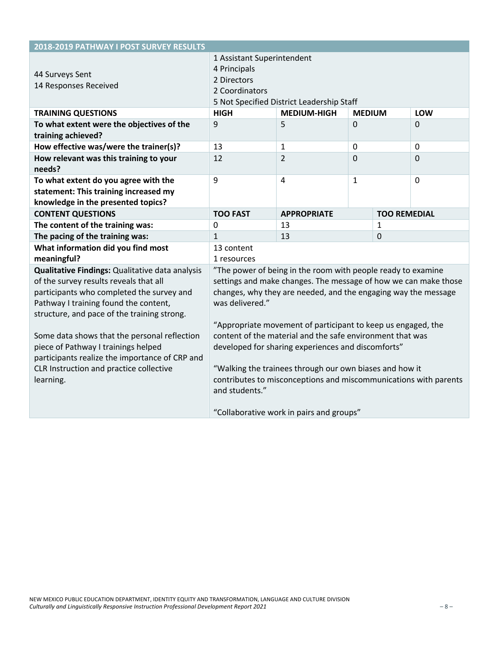| 2018-2019 PATHWAY I POST SURVEY RESULTS                                                                                                                                                                                                                                                                                                                                                                                         |                                                                                                                                                                                                                                                                                                                                                                                                                                                                                                                                        |                    |               |                     |                |
|---------------------------------------------------------------------------------------------------------------------------------------------------------------------------------------------------------------------------------------------------------------------------------------------------------------------------------------------------------------------------------------------------------------------------------|----------------------------------------------------------------------------------------------------------------------------------------------------------------------------------------------------------------------------------------------------------------------------------------------------------------------------------------------------------------------------------------------------------------------------------------------------------------------------------------------------------------------------------------|--------------------|---------------|---------------------|----------------|
| 44 Surveys Sent<br>14 Responses Received                                                                                                                                                                                                                                                                                                                                                                                        | 1 Assistant Superintendent<br>4 Principals<br>2 Directors<br>2 Coordinators<br>5 Not Specified District Leadership Staff                                                                                                                                                                                                                                                                                                                                                                                                               |                    |               |                     |                |
| <b>TRAINING QUESTIONS</b>                                                                                                                                                                                                                                                                                                                                                                                                       | <b>HIGH</b>                                                                                                                                                                                                                                                                                                                                                                                                                                                                                                                            | <b>MEDIUM-HIGH</b> | <b>MEDIUM</b> |                     | LOW            |
| To what extent were the objectives of the<br>training achieved?                                                                                                                                                                                                                                                                                                                                                                 | 9                                                                                                                                                                                                                                                                                                                                                                                                                                                                                                                                      | 5                  | 0             |                     | 0              |
| How effective was/were the trainer(s)?                                                                                                                                                                                                                                                                                                                                                                                          | 13                                                                                                                                                                                                                                                                                                                                                                                                                                                                                                                                     | $\mathbf{1}$       | $\mathbf 0$   |                     | $\mathbf 0$    |
| How relevant was this training to your<br>needs?                                                                                                                                                                                                                                                                                                                                                                                | 12                                                                                                                                                                                                                                                                                                                                                                                                                                                                                                                                     | 2                  | 0             |                     | 0              |
| To what extent do you agree with the<br>statement: This training increased my<br>knowledge in the presented topics?                                                                                                                                                                                                                                                                                                             | 9                                                                                                                                                                                                                                                                                                                                                                                                                                                                                                                                      | $\overline{4}$     | $\mathbf{1}$  |                     | $\overline{0}$ |
| <b>CONTENT QUESTIONS</b>                                                                                                                                                                                                                                                                                                                                                                                                        | <b>TOO FAST</b>                                                                                                                                                                                                                                                                                                                                                                                                                                                                                                                        | <b>APPROPRIATE</b> |               | <b>TOO REMEDIAL</b> |                |
| The content of the training was:                                                                                                                                                                                                                                                                                                                                                                                                | 0                                                                                                                                                                                                                                                                                                                                                                                                                                                                                                                                      | 13                 |               | 1                   |                |
| The pacing of the training was:                                                                                                                                                                                                                                                                                                                                                                                                 | $\mathbf{1}$                                                                                                                                                                                                                                                                                                                                                                                                                                                                                                                           | 13                 |               | 0                   |                |
| What information did you find most<br>meaningful?                                                                                                                                                                                                                                                                                                                                                                               | 13 content<br>1 resources                                                                                                                                                                                                                                                                                                                                                                                                                                                                                                              |                    |               |                     |                |
| Qualitative Findings: Qualitative data analysis<br>of the survey results reveals that all<br>participants who completed the survey and<br>Pathway I training found the content,<br>structure, and pace of the training strong.<br>Some data shows that the personal reflection<br>piece of Pathway I trainings helped<br>participants realize the importance of CRP and<br>CLR Instruction and practice collective<br>learning. | "The power of being in the room with people ready to examine<br>settings and make changes. The message of how we can make those<br>changes, why they are needed, and the engaging way the message<br>was delivered."<br>"Appropriate movement of participant to keep us engaged, the<br>content of the material and the safe environment that was<br>developed for sharing experiences and discomforts"<br>"Walking the trainees through our own biases and how it<br>contributes to misconceptions and miscommunications with parents |                    |               |                     |                |
|                                                                                                                                                                                                                                                                                                                                                                                                                                 | and students."<br>"Collaborative work in pairs and groups"                                                                                                                                                                                                                                                                                                                                                                                                                                                                             |                    |               |                     |                |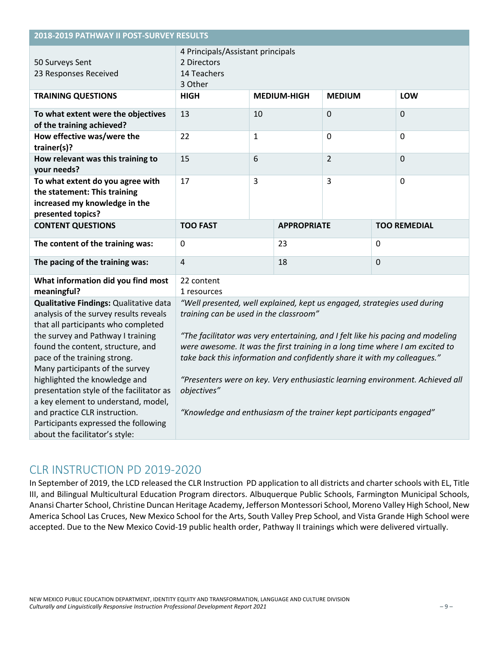| 2018-2019 PATHWAY II POST-SURVEY RESULTS                                                                                                                                                                                                                                                                                                                                                                                                                                                            |                                                                                                                                                                                                                                                                                                                                                                                                                                                                                                                                          |   |                    |             |             |                     |
|-----------------------------------------------------------------------------------------------------------------------------------------------------------------------------------------------------------------------------------------------------------------------------------------------------------------------------------------------------------------------------------------------------------------------------------------------------------------------------------------------------|------------------------------------------------------------------------------------------------------------------------------------------------------------------------------------------------------------------------------------------------------------------------------------------------------------------------------------------------------------------------------------------------------------------------------------------------------------------------------------------------------------------------------------------|---|--------------------|-------------|-------------|---------------------|
| 50 Surveys Sent<br>23 Responses Received                                                                                                                                                                                                                                                                                                                                                                                                                                                            | 4 Principals/Assistant principals<br>2 Directors<br>14 Teachers<br>3 Other                                                                                                                                                                                                                                                                                                                                                                                                                                                               |   |                    |             |             |                     |
| <b>TRAINING QUESTIONS</b>                                                                                                                                                                                                                                                                                                                                                                                                                                                                           | <b>HIGH</b><br><b>MEDIUM-HIGH</b><br><b>MEDIUM</b><br><b>LOW</b>                                                                                                                                                                                                                                                                                                                                                                                                                                                                         |   |                    |             |             |                     |
| To what extent were the objectives<br>of the training achieved?                                                                                                                                                                                                                                                                                                                                                                                                                                     | 13<br>10                                                                                                                                                                                                                                                                                                                                                                                                                                                                                                                                 |   | $\Omega$           |             | $\Omega$    |                     |
| How effective was/were the<br>trainer(s)?                                                                                                                                                                                                                                                                                                                                                                                                                                                           | 22                                                                                                                                                                                                                                                                                                                                                                                                                                                                                                                                       | 1 |                    | $\mathbf 0$ |             | $\mathbf{0}$        |
| How relevant was this training to<br>your needs?                                                                                                                                                                                                                                                                                                                                                                                                                                                    | 15<br>6                                                                                                                                                                                                                                                                                                                                                                                                                                                                                                                                  |   | $\overline{2}$     |             | $\mathbf 0$ |                     |
| To what extent do you agree with<br>the statement: This training<br>increased my knowledge in the<br>presented topics?                                                                                                                                                                                                                                                                                                                                                                              | 3<br>17                                                                                                                                                                                                                                                                                                                                                                                                                                                                                                                                  |   | 3                  |             | $\mathbf 0$ |                     |
| <b>CONTENT QUESTIONS</b>                                                                                                                                                                                                                                                                                                                                                                                                                                                                            | <b>TOO FAST</b>                                                                                                                                                                                                                                                                                                                                                                                                                                                                                                                          |   | <b>APPROPRIATE</b> |             |             | <b>TOO REMEDIAL</b> |
| The content of the training was:                                                                                                                                                                                                                                                                                                                                                                                                                                                                    | 23<br>0<br>0                                                                                                                                                                                                                                                                                                                                                                                                                                                                                                                             |   |                    |             |             |                     |
| The pacing of the training was:                                                                                                                                                                                                                                                                                                                                                                                                                                                                     | 4<br>18<br>$\Omega$                                                                                                                                                                                                                                                                                                                                                                                                                                                                                                                      |   |                    |             |             |                     |
| What information did you find most<br>meaningful?                                                                                                                                                                                                                                                                                                                                                                                                                                                   | 22 content<br>1 resources                                                                                                                                                                                                                                                                                                                                                                                                                                                                                                                |   |                    |             |             |                     |
| Qualitative Findings: Qualitative data<br>analysis of the survey results reveals<br>that all participants who completed<br>the survey and Pathway I training<br>found the content, structure, and<br>pace of the training strong.<br>Many participants of the survey<br>highlighted the knowledge and<br>presentation style of the facilitator as<br>a key element to understand, model,<br>and practice CLR instruction.<br>Participants expressed the following<br>about the facilitator's style: | "Well presented, well explained, kept us engaged, strategies used during<br>training can be used in the classroom"<br>"The facilitator was very entertaining, and I felt like his pacing and modeling<br>were awesome. It was the first training in a long time where I am excited to<br>take back this information and confidently share it with my colleagues."<br>"Presenters were on key. Very enthusiastic learning environment. Achieved all<br>objectives"<br>"Knowledge and enthusiasm of the trainer kept participants engaged" |   |                    |             |             |                     |

# CLR INSTRUCTION PD 2019-2020

In September of 2019, the LCD released the CLR Instruction PD application to all districts and charter schools with EL, Title III, and Bilingual Multicultural Education Program directors. Albuquerque Public Schools, Farmington Municipal Schools, Anansi Charter School, Christine Duncan Heritage Academy, Jefferson Montessori School, Moreno Valley High School, New America School Las Cruces, New Mexico School for the Arts, South Valley Prep School, and Vista Grande High School were accepted. Due to the New Mexico Covid-19 public health order, Pathway II trainings which were delivered virtually.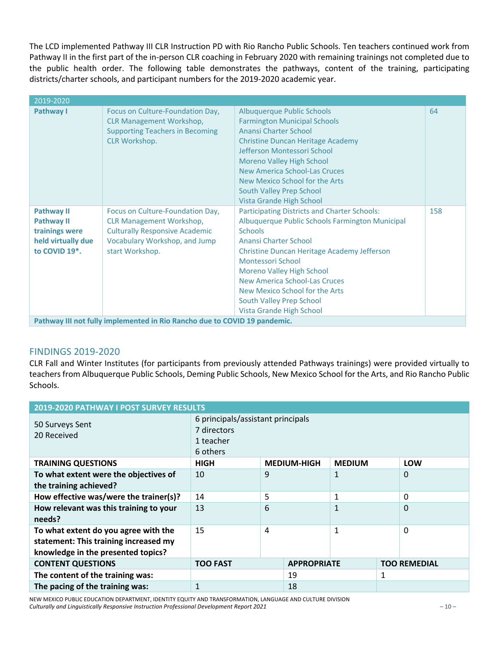The LCD implemented Pathway III CLR Instruction PD with Rio Rancho Public Schools. Ten teachers continued work from Pathway II in the first part of the in-person CLR coaching in February 2020 with remaining trainings not completed due to the public health order. The following table demonstrates the pathways, content of the training, participating districts/charter schools, and participant numbers for the 2019-2020 academic year.

| 2019-2020                                                                                                    |                                                                                                                                                                  |                                                                                                                                                                                                                                                                                                                                                                                             |     |
|--------------------------------------------------------------------------------------------------------------|------------------------------------------------------------------------------------------------------------------------------------------------------------------|---------------------------------------------------------------------------------------------------------------------------------------------------------------------------------------------------------------------------------------------------------------------------------------------------------------------------------------------------------------------------------------------|-----|
| Pathway I                                                                                                    | Focus on Culture-Foundation Day,<br><b>CLR Management Workshop,</b><br><b>Supporting Teachers in Becoming</b><br><b>CLR Workshop.</b>                            | Albuquerque Public Schools<br><b>Farmington Municipal Schools</b><br><b>Anansi Charter School</b><br><b>Christine Duncan Heritage Academy</b><br>Jefferson Montessori School<br><b>Moreno Valley High School</b><br>New America School-Las Cruces<br>New Mexico School for the Arts<br>South Valley Prep School<br>Vista Grande High School                                                 | 64  |
| <b>Pathway II</b><br><b>Pathway II</b><br>trainings were<br>held virtually due<br>to COVID 19 <sup>*</sup> . | Focus on Culture-Foundation Day,<br><b>CLR Management Workshop,</b><br><b>Culturally Responsive Academic</b><br>Vocabulary Workshop, and Jump<br>start Workshop. | <b>Participating Districts and Charter Schools:</b><br>Albuquerque Public Schools Farmington Municipal<br><b>Schools</b><br>Anansi Charter School<br>Christine Duncan Heritage Academy Jefferson<br>Montessori School<br><b>Moreno Valley High School</b><br><b>New America School-Las Cruces</b><br>New Mexico School for the Arts<br>South Valley Prep School<br>Vista Grande High School | 158 |
|                                                                                                              | Pathway III not fully implemented in Rio Rancho due to COVID 19 pandemic.                                                                                        |                                                                                                                                                                                                                                                                                                                                                                                             |     |

#### FINDINGS 2019-2020

CLR Fall and Winter Institutes (for participants from previously attended Pathways trainings) were provided virtually to teachers from Albuquerque Public Schools, Deming Public Schools, New Mexico School for the Arts, and Rio Rancho Public Schools.

| 2019-2020 PATHWAY I POST SURVEY RESULTS                                                                             |                                                                           |   |                    |               |   |                     |
|---------------------------------------------------------------------------------------------------------------------|---------------------------------------------------------------------------|---|--------------------|---------------|---|---------------------|
| 50 Surveys Sent<br>20 Received                                                                                      | 6 principals/assistant principals<br>7 directors<br>1 teacher<br>6 others |   |                    |               |   |                     |
| <b>TRAINING QUESTIONS</b>                                                                                           | <b>HIGH</b>                                                               |   | <b>MEDIUM-HIGH</b> | <b>MEDIUM</b> |   | LOW                 |
| To what extent were the objectives of<br>the training achieved?                                                     | 10                                                                        | 9 |                    | 1             |   | 0                   |
| How effective was/were the trainer(s)?                                                                              | 14                                                                        | 5 |                    | 1             |   | 0                   |
| How relevant was this training to your<br>needs?                                                                    | 13                                                                        | 6 |                    | $\mathbf{1}$  |   | 0                   |
| To what extent do you agree with the<br>statement: This training increased my<br>knowledge in the presented topics? | 15                                                                        | 4 |                    | 1             |   | 0                   |
| <b>CONTENT QUESTIONS</b>                                                                                            | <b>TOO FAST</b>                                                           |   | <b>APPROPRIATE</b> |               |   | <b>TOO REMEDIAL</b> |
| The content of the training was:                                                                                    |                                                                           |   | 19                 |               | 1 |                     |
| The pacing of the training was:                                                                                     | $\mathbf{1}$                                                              |   | 18                 |               |   |                     |

NEW MEXICO PUBLIC EDUCATION DEPARTMENT, IDENTITY EQUITY AND TRANSFORMATION, LANGUAGE AND CULTURE DIVISION *Culturally and Linguistically Responsive Instruction Professional Development Report 2021* – 10 –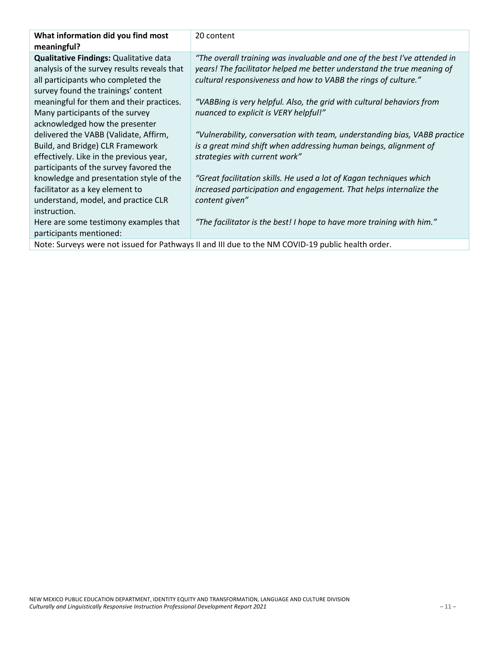| What information did you find most<br>meaningful? | 20 content                                                                                        |
|---------------------------------------------------|---------------------------------------------------------------------------------------------------|
| Qualitative Findings: Qualitative data            | "The overall training was invaluable and one of the best I've attended in                         |
| analysis of the survey results reveals that       | years! The facilitator helped me better understand the true meaning of                            |
| all participants who completed the                | cultural responsiveness and how to VABB the rings of culture."                                    |
| survey found the trainings' content               |                                                                                                   |
| meaningful for them and their practices.          | "VABBing is very helpful. Also, the grid with cultural behaviors from                             |
| Many participants of the survey                   | nuanced to explicit is VERY helpful!"                                                             |
| acknowledged how the presenter                    |                                                                                                   |
| delivered the VABB (Validate, Affirm,             | "Vulnerability, conversation with team, understanding bias, VABB practice                         |
| Build, and Bridge) CLR Framework                  | is a great mind shift when addressing human beings, alignment of                                  |
| effectively. Like in the previous year,           | strategies with current work"                                                                     |
| participants of the survey favored the            |                                                                                                   |
| knowledge and presentation style of the           | "Great facilitation skills. He used a lot of Kagan techniques which                               |
| facilitator as a key element to                   | increased participation and engagement. That helps internalize the                                |
| understand, model, and practice CLR               | content given"                                                                                    |
| instruction.                                      |                                                                                                   |
| Here are some testimony examples that             | "The facilitator is the best! I hope to have more training with him."                             |
| participants mentioned:                           |                                                                                                   |
|                                                   | Note: Surveys were not issued for Pathways II and III due to the NM COVID-19 public health order. |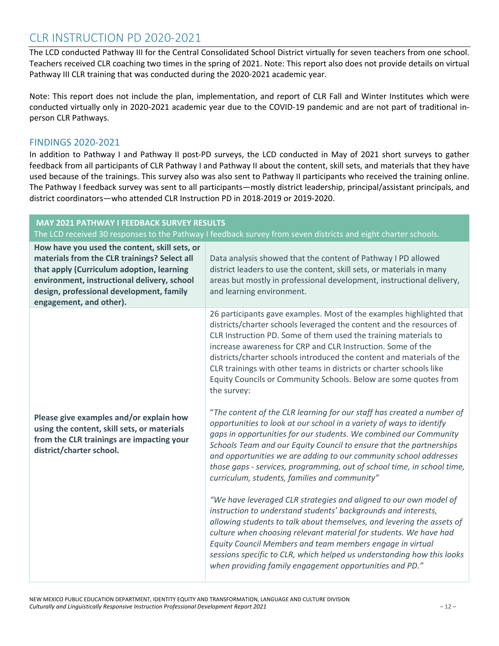### CLR INSTRUCTION PD 2020-2021

The LCD conducted Pathway III for the Central Consolidated School District virtually for seven teachers from one school. Teachers received CLR coaching two times in the spring of 2021. Note: This report also does not provide details on virtual Pathway III CLR training that was conducted during the 2020-2021 academic year.

Note: This report does not include the plan, implementation, and report of CLR Fall and Winter Institutes which were conducted virtually only in 2020-2021 academic year due to the COVID-19 pandemic and are not part of traditional inperson CLR Pathways.

#### FINDINGS 2020-2021

In addition to Pathway I and Pathway II post-PD surveys, the LCD conducted in May of 2021 short surveys to gather feedback from all participants of CLR Pathway I and Pathway II about the content, skill sets, and materials that they have used because of the trainings. This survey also was also sent to Pathway II participants who received the training online. The Pathway I feedback survey was sent to all participants—mostly district leadership, principal/assistant principals, and district coordinators—who attended CLR Instruction PD in 2018-2019 or 2019-2020.

| <b>MAY 2021 PATHWAY I FEEDBACK SURVEY RESULTS</b>                                                                                                                                                                                                                | The LCD received 30 responses to the Pathway I feedback survey from seven districts and eight charter schools.                                                                                                                                                                                                                                                                                                                                                                                                    |
|------------------------------------------------------------------------------------------------------------------------------------------------------------------------------------------------------------------------------------------------------------------|-------------------------------------------------------------------------------------------------------------------------------------------------------------------------------------------------------------------------------------------------------------------------------------------------------------------------------------------------------------------------------------------------------------------------------------------------------------------------------------------------------------------|
| How have you used the content, skill sets, or<br>materials from the CLR trainings? Select all<br>that apply (Curriculum adoption, learning<br>environment, instructional delivery, school<br>design, professional development, family<br>engagement, and other). | Data analysis showed that the content of Pathway I PD allowed<br>district leaders to use the content, skill sets, or materials in many<br>areas but mostly in professional development, instructional delivery,<br>and learning environment.                                                                                                                                                                                                                                                                      |
|                                                                                                                                                                                                                                                                  | 26 participants gave examples. Most of the examples highlighted that<br>districts/charter schools leveraged the content and the resources of<br>CLR Instruction PD. Some of them used the training materials to<br>increase awareness for CRP and CLR Instruction. Some of the<br>districts/charter schools introduced the content and materials of the<br>CLR trainings with other teams in districts or charter schools like<br>Equity Councils or Community Schools. Below are some quotes from<br>the survey: |
| Please give examples and/or explain how<br>using the content, skill sets, or materials<br>from the CLR trainings are impacting your<br>district/charter school.                                                                                                  | "The content of the CLR learning for our staff has created a number of<br>opportunities to look at our school in a variety of ways to identify<br>gaps in opportunities for our students. We combined our Community<br>Schools Team and our Equity Council to ensure that the partnerships<br>and opportunities we are adding to our community school addresses<br>those gaps - services, programming, out of school time, in school time,<br>curriculum, students, families and community"                       |
|                                                                                                                                                                                                                                                                  | "We have leveraged CLR strategies and aligned to our own model of<br>instruction to understand students' backgrounds and interests,<br>allowing students to talk about themselves, and levering the assets of<br>culture when choosing relevant material for students. We have had<br>Equity Council Members and team members engage in virtual<br>sessions specific to CLR, which helped us understanding how this looks<br>when providing family engagement opportunities and PD."                              |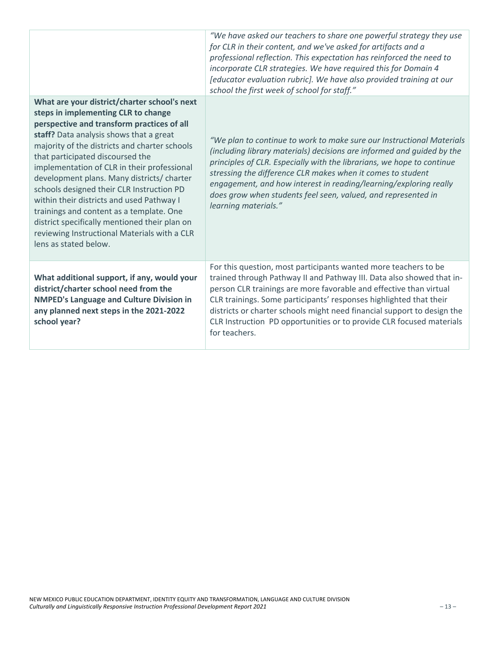|                                                                                                                                                                                                                                                                                                                                                                                                                                                                                                                                                                                                                                | "We have asked our teachers to share one powerful strategy they use<br>for CLR in their content, and we've asked for artifacts and a<br>professional reflection. This expectation has reinforced the need to<br>incorporate CLR strategies. We have required this for Domain 4<br>[educator evaluation rubric]. We have also provided training at our<br>school the first week of school for staff."                                                     |
|--------------------------------------------------------------------------------------------------------------------------------------------------------------------------------------------------------------------------------------------------------------------------------------------------------------------------------------------------------------------------------------------------------------------------------------------------------------------------------------------------------------------------------------------------------------------------------------------------------------------------------|----------------------------------------------------------------------------------------------------------------------------------------------------------------------------------------------------------------------------------------------------------------------------------------------------------------------------------------------------------------------------------------------------------------------------------------------------------|
| What are your district/charter school's next<br>steps in implementing CLR to change<br>perspective and transform practices of all<br>staff? Data analysis shows that a great<br>majority of the districts and charter schools<br>that participated discoursed the<br>implementation of CLR in their professional<br>development plans. Many districts/ charter<br>schools designed their CLR Instruction PD<br>within their districts and used Pathway I<br>trainings and content as a template. One<br>district specifically mentioned their plan on<br>reviewing Instructional Materials with a CLR<br>lens as stated below. | "We plan to continue to work to make sure our Instructional Materials<br>(including library materials) decisions are informed and guided by the<br>principles of CLR. Especially with the librarians, we hope to continue<br>stressing the difference CLR makes when it comes to student<br>engagement, and how interest in reading/learning/exploring really<br>does grow when students feel seen, valued, and represented in<br>learning materials."   |
| What additional support, if any, would your<br>district/charter school need from the<br><b>NMPED's Language and Culture Division in</b><br>any planned next steps in the 2021-2022<br>school year?                                                                                                                                                                                                                                                                                                                                                                                                                             | For this question, most participants wanted more teachers to be<br>trained through Pathway II and Pathway III. Data also showed that in-<br>person CLR trainings are more favorable and effective than virtual<br>CLR trainings. Some participants' responses highlighted that their<br>districts or charter schools might need financial support to design the<br>CLR Instruction PD opportunities or to provide CLR focused materials<br>for teachers. |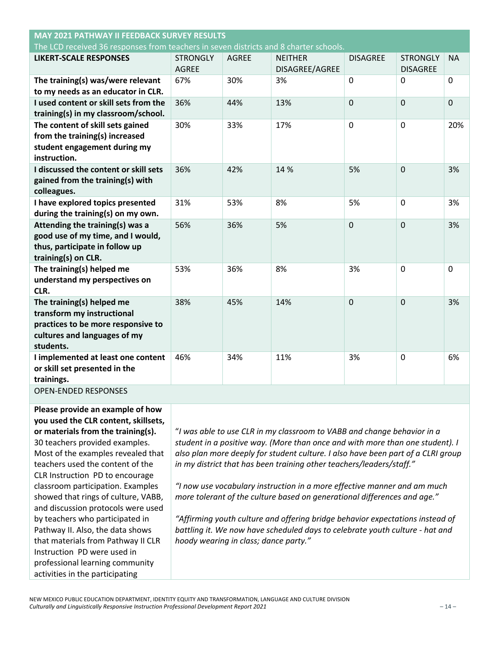| <b>MAY 2021 PATHWAY II FEEDBACK SURVEY RESULTS</b>                                                                                         |                                 |              |                                  |                 |                                    |              |
|--------------------------------------------------------------------------------------------------------------------------------------------|---------------------------------|--------------|----------------------------------|-----------------|------------------------------------|--------------|
| The LCD received 36 responses from teachers in seven districts and 8 charter schools.                                                      |                                 |              |                                  |                 |                                    |              |
| <b>LIKERT-SCALE RESPONSES</b>                                                                                                              | <b>STRONGLY</b><br><b>AGREE</b> | <b>AGREE</b> | <b>NEITHER</b><br>DISAGREE/AGREE | <b>DISAGREE</b> | <b>STRONGLY</b><br><b>DISAGREE</b> | <b>NA</b>    |
| The training(s) was/were relevant<br>to my needs as an educator in CLR.                                                                    | 67%                             | 30%          | 3%                               | $\Omega$        | 0                                  | $\mathbf{0}$ |
| I used content or skill sets from the<br>training(s) in my classroom/school.                                                               | 36%                             | 44%          | 13%                              | 0               | $\overline{0}$                     | $\mathbf 0$  |
| The content of skill sets gained<br>from the training(s) increased<br>student engagement during my<br>instruction.                         | 30%                             | 33%          | 17%                              | $\mathbf 0$     | 0                                  | 20%          |
| I discussed the content or skill sets<br>gained from the training(s) with<br>colleagues.                                                   | 36%                             | 42%          | 14 %                             | 5%              | 0                                  | 3%           |
| I have explored topics presented<br>during the training(s) on my own.                                                                      | 31%                             | 53%          | 8%                               | 5%              | 0                                  | 3%           |
| Attending the training(s) was a<br>good use of my time, and I would,<br>thus, participate in follow up<br>training(s) on CLR.              | 56%                             | 36%          | 5%                               | $\overline{0}$  | $\overline{0}$                     | 3%           |
| The training(s) helped me<br>understand my perspectives on<br>CLR.                                                                         | 53%                             | 36%          | 8%                               | 3%              | 0                                  | $\mathbf 0$  |
| The training(s) helped me<br>transform my instructional<br>practices to be more responsive to<br>cultures and languages of my<br>students. | 38%                             | 45%          | 14%                              | $\mathbf 0$     | 0                                  | 3%           |
| I implemented at least one content<br>or skill set presented in the<br>trainings.                                                          | 46%                             | 34%          | 11%                              | 3%              | 0                                  | 6%           |
| <b>OPEN-ENDED RESPONSES</b>                                                                                                                |                                 |              |                                  |                 |                                    |              |

**Please provide an example of how you used the CLR content, skillsets, or materials from the training(s).** 30 teachers provided examples. Most of the examples revealed that teachers used the content of the CLR Instruction PD to encourage classroom participation. Examples showed that rings of culture, VABB, and discussion protocols were used by teachers who participated in Pathway II. Also, the data shows that materials from Pathway II CLR Instruction PD were used in professional learning community activities in the participating

"*I was able to use CLR in my classroom to VABB and change behavior in a student in a positive way. (More than once and with more than one student). I also plan more deeply for student culture. I also have been part of a CLRI group in my district that has been training other teachers/leaders/staff."*

*"I now use vocabulary instruction in a more effective manner and am much more tolerant of the culture based on generational differences and age."*

*"Affirming youth culture and offering bridge behavior expectations instead of battling it. We now have scheduled days to celebrate youth culture - hat and hoody wearing in class; dance party."*

NEW MEXICO PUBLIC EDUCATION DEPARTMENT, IDENTITY EQUITY AND TRANSFORMATION, LANGUAGE AND CULTURE DIVISION *Culturally and Linguistically Responsive Instruction Professional Development Report 2021* – 14 –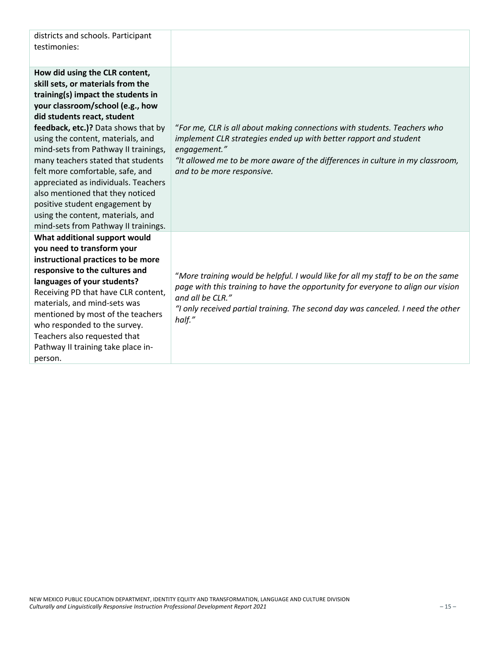| districts and schools. Participant<br>testimonies:                                                                                                                                                                                                                                                                                                                                                                                                                                                                                                                    |                                                                                                                                                                                                                                                                                        |
|-----------------------------------------------------------------------------------------------------------------------------------------------------------------------------------------------------------------------------------------------------------------------------------------------------------------------------------------------------------------------------------------------------------------------------------------------------------------------------------------------------------------------------------------------------------------------|----------------------------------------------------------------------------------------------------------------------------------------------------------------------------------------------------------------------------------------------------------------------------------------|
| How did using the CLR content,<br>skill sets, or materials from the<br>training(s) impact the students in<br>your classroom/school (e.g., how<br>did students react, student<br>feedback, etc.)? Data shows that by<br>using the content, materials, and<br>mind-sets from Pathway II trainings,<br>many teachers stated that students<br>felt more comfortable, safe, and<br>appreciated as individuals. Teachers<br>also mentioned that they noticed<br>positive student engagement by<br>using the content, materials, and<br>mind-sets from Pathway II trainings. | "For me, CLR is all about making connections with students. Teachers who<br>implement CLR strategies ended up with better rapport and student<br>engagement."<br>"It allowed me to be more aware of the differences in culture in my classroom,<br>and to be more responsive.          |
| What additional support would<br>you need to transform your<br>instructional practices to be more<br>responsive to the cultures and<br>languages of your students?<br>Receiving PD that have CLR content,<br>materials, and mind-sets was<br>mentioned by most of the teachers<br>who responded to the survey.<br>Teachers also requested that<br>Pathway II training take place in-<br>person.                                                                                                                                                                       | "More training would be helpful. I would like for all my staff to be on the same<br>page with this training to have the opportunity for everyone to align our vision<br>and all be CLR."<br>"I only received partial training. The second day was canceled. I need the other<br>half." |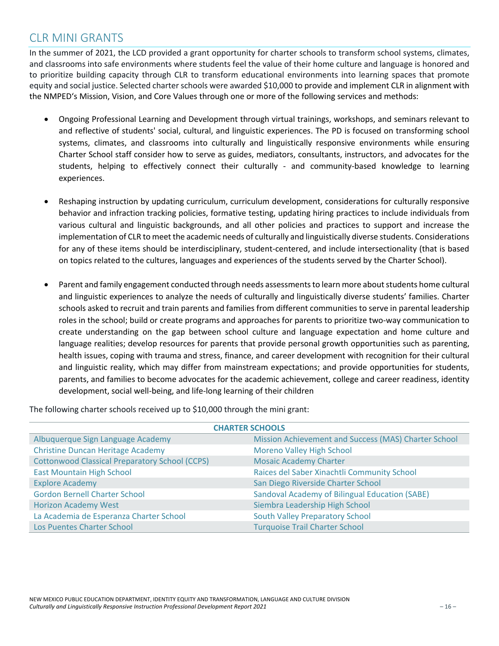### CLR MINI GRANTS

In the summer of 2021, the LCD provided a grant opportunity for charter schools to transform school systems, climates, and classrooms into safe environments where students feel the value of their home culture and language is honored and to prioritize building capacity through CLR to transform educational environments into learning spaces that promote equity and social justice. Selected charter schools were awarded \$10,000 to provide and implement CLR in alignment with the NMPED's Mission, Vision, and Core Values through one or more of the following services and methods:

- Ongoing Professional Learning and Development through virtual trainings, workshops, and seminars relevant to and reflective of students' social, cultural, and linguistic experiences. The PD is focused on transforming school systems, climates, and classrooms into culturally and linguistically responsive environments while ensuring Charter School staff consider how to serve as guides, mediators, consultants, instructors, and advocates for the students, helping to effectively connect their culturally - and community-based knowledge to learning experiences.
- Reshaping instruction by updating curriculum, curriculum development, considerations for culturally responsive behavior and infraction tracking policies, formative testing, updating hiring practices to include individuals from various cultural and linguistic backgrounds, and all other policies and practices to support and increase the implementation of CLR to meet the academic needs of culturally and linguistically diverse students. Considerations for any of these items should be interdisciplinary, student-centered, and include intersectionality (that is based on topics related to the cultures, languages and experiences of the students served by the Charter School).
- Parent and family engagement conducted through needs assessments to learn more about students home cultural and linguistic experiences to analyze the needs of culturally and linguistically diverse students' families. Charter schools asked to recruit and train parents and families from different communities to serve in parental leadership roles in the school; build or create programs and approaches for parents to prioritize two-way communication to create understanding on the gap between school culture and language expectation and home culture and language realities; develop resources for parents that provide personal growth opportunities such as parenting, health issues, coping with trauma and stress, finance, and career development with recognition for their cultural and linguistic reality, which may differ from mainstream expectations; and provide opportunities for students, parents, and families to become advocates for the academic achievement, college and career readiness, identity development, social well-being, and life-long learning of their children

The following charter schools received up to \$10,000 through the mini grant:

| <b>CHARTER SCHOOLS</b>                                |                                                       |  |  |  |
|-------------------------------------------------------|-------------------------------------------------------|--|--|--|
| Albuquerque Sign Language Academy                     | Mission Achievement and Success (MAS) Charter School  |  |  |  |
| <b>Christine Duncan Heritage Academy</b>              | <b>Moreno Valley High School</b>                      |  |  |  |
| <b>Cottonwood Classical Preparatory School (CCPS)</b> | <b>Mosaic Academy Charter</b>                         |  |  |  |
| <b>East Mountain High School</b>                      | Raices del Saber Xinachtli Community School           |  |  |  |
| <b>Explore Academy</b>                                | San Diego Riverside Charter School                    |  |  |  |
| <b>Gordon Bernell Charter School</b>                  | <b>Sandoval Academy of Bilingual Education (SABE)</b> |  |  |  |
| <b>Horizon Academy West</b>                           | Siembra Leadership High School                        |  |  |  |
| La Academia de Esperanza Charter School               | <b>South Valley Preparatory School</b>                |  |  |  |
| Los Puentes Charter School                            | <b>Turquoise Trail Charter School</b>                 |  |  |  |